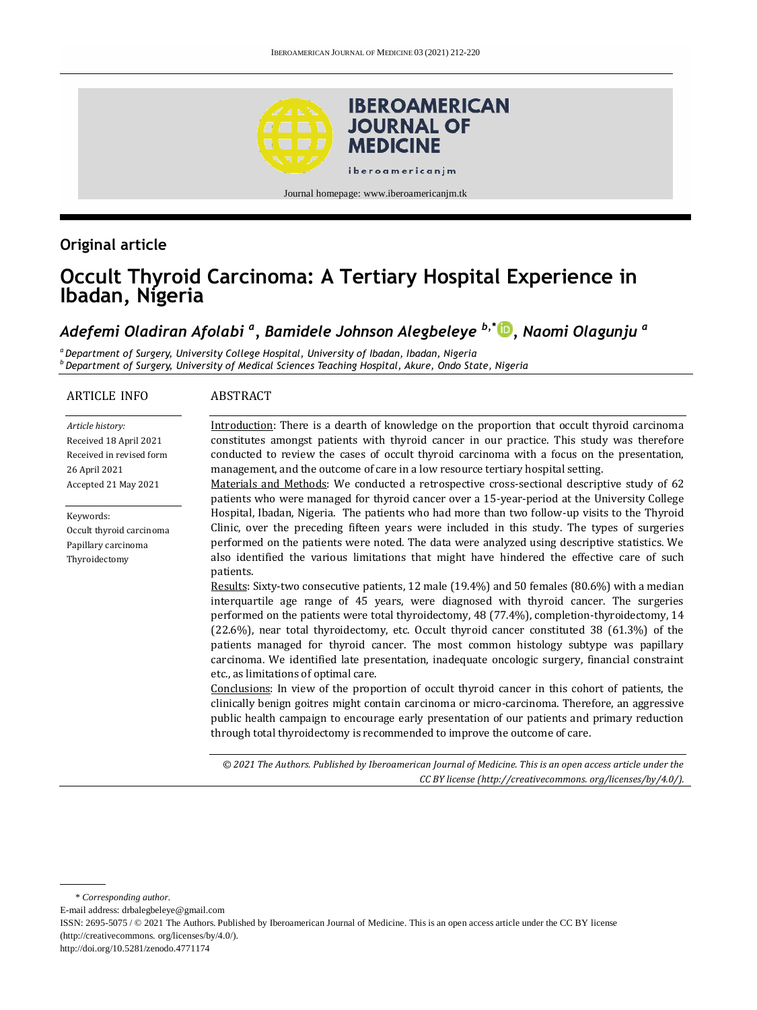

## **Original article**

# **Occult Thyroid Carcinoma: A Tertiary Hospital Experience in Ibadan, Nigeria**

## *Adefemi Oladiran Afolabi <sup>a</sup> , Bamidele Johnson Alegbeleye b,\* [,](https://orcid.org/0000-0001-7440-1032) Naomi Olagunju <sup>a</sup>*

*<sup>a</sup> Department of Surgery, University College Hospital, University of Ibadan, Ibadan, Nigeria <sup>b</sup>Department of Surgery, University of Medical Sciences Teaching Hospital, Akure, Ondo State, Nigeria*

#### ARTICLE INFO

#### ABSTRACT

*Article history:* Received 18 April 2021 Received in revised form 26 April 2021 Accepted 21 May 2021

Keywords:

Occult thyroid carcinoma Papillary carcinoma Thyroidectomy

Introduction: There is a dearth of knowledge on the proportion that occult thyroid carcinoma constitutes amongst patients with thyroid cancer in our practice. This study was therefore conducted to review the cases of occult thyroid carcinoma with a focus on the presentation, management, and the outcome of care in a low resource tertiary hospital setting.

Materials and Methods: We conducted a retrospective cross-sectional descriptive study of 62 patients who were managed for thyroid cancer over a 15-year-period at the University College Hospital, Ibadan, Nigeria. The patients who had more than two follow-up visits to the Thyroid Clinic, over the preceding fifteen years were included in this study. The types of surgeries performed on the patients were noted. The data were analyzed using descriptive statistics. We also identified the various limitations that might have hindered the effective care of such patients.

Results: Sixty-two consecutive patients, 12 male (19.4%) and 50 females (80.6%) with a median interquartile age range of 45 years, were diagnosed with thyroid cancer. The surgeries performed on the patients were total thyroidectomy, 48 (77.4%), completion-thyroidectomy, 14 (22.6%), near total thyroidectomy, etc. Occult thyroid cancer constituted 38 (61.3%) of the patients managed for thyroid cancer. The most common histology subtype was papillary carcinoma. We identified late presentation, inadequate oncologic surgery, financial constraint etc., as limitations of optimal care.

Conclusions: In view of the proportion of occult thyroid cancer in this cohort of patients, the clinically benign goitres might contain carcinoma or micro-carcinoma. Therefore, an aggressive public health campaign to encourage early presentation of our patients and primary reduction through total thyroidectomy is recommended to improve the outcome of care.

*© 2021 The Authors. Published by Iberoamerican Journal of Medicine. This is an open access article under the CC BY license (http:/[/creativecommons. org/licenses/by/4.0/\)](https://creativecommons.org/licenses/by/4.0/).*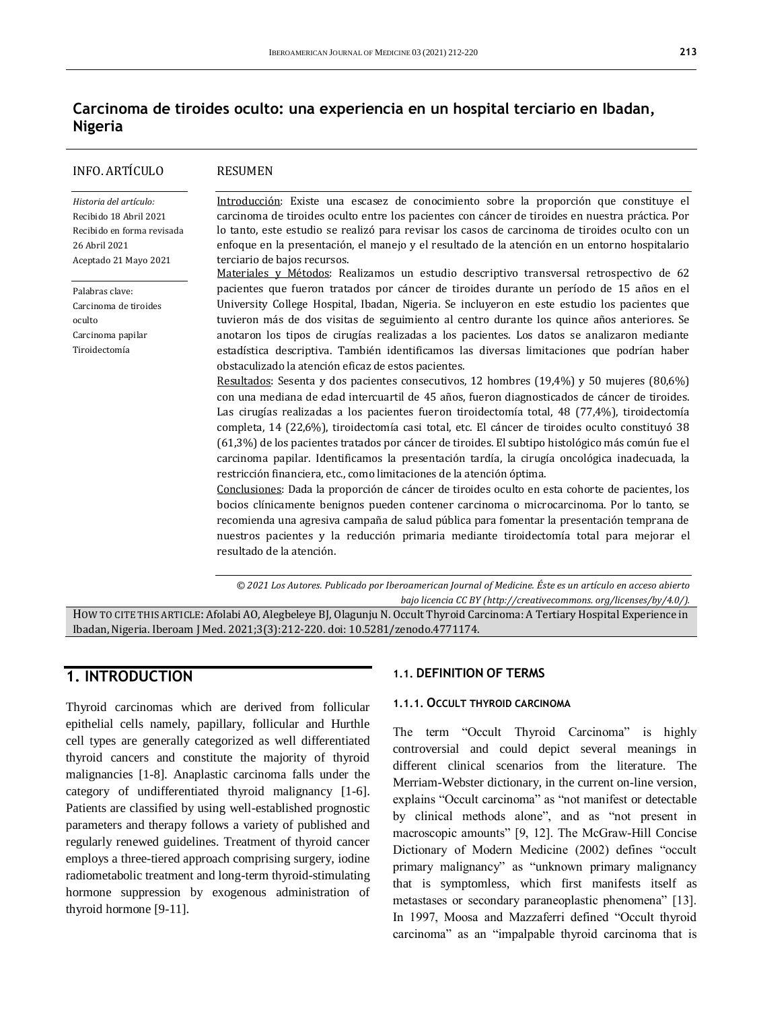## **Carcinoma de tiroides oculto: una experiencia en un hospital terciario en Ibadan, Nigeria**

| INFO. ARTÍCULO                                                                                                           | <b>RESUMEN</b>                                                                                                                                                                                                                                                                                                                                                                                                                                                                                                                                                                                                                                                                                                                                                                                                                                                                                                                                                                                                                                                                                                                                                                                                                                                                                                                                                                                                                                                                                                                                                                                                                                        |
|--------------------------------------------------------------------------------------------------------------------------|-------------------------------------------------------------------------------------------------------------------------------------------------------------------------------------------------------------------------------------------------------------------------------------------------------------------------------------------------------------------------------------------------------------------------------------------------------------------------------------------------------------------------------------------------------------------------------------------------------------------------------------------------------------------------------------------------------------------------------------------------------------------------------------------------------------------------------------------------------------------------------------------------------------------------------------------------------------------------------------------------------------------------------------------------------------------------------------------------------------------------------------------------------------------------------------------------------------------------------------------------------------------------------------------------------------------------------------------------------------------------------------------------------------------------------------------------------------------------------------------------------------------------------------------------------------------------------------------------------------------------------------------------------|
| Historia del artículo:<br>Recibido 18 Abril 2021<br>Recibido en forma revisada<br>26 Abril 2021<br>Aceptado 21 Mayo 2021 | Introducción: Existe una escasez de conocimiento sobre la proporción que constituye el<br>carcinoma de tiroides oculto entre los pacientes con cáncer de tiroides en nuestra práctica. Por<br>lo tanto, este estudio se realizó para revisar los casos de carcinoma de tiroides oculto con un<br>enfoque en la presentación, el manejo y el resultado de la atención en un entorno hospitalario<br>terciario de bajos recursos.<br>Materiales y Métodos: Realizamos un estudio descriptivo transversal retrospectivo de 62                                                                                                                                                                                                                                                                                                                                                                                                                                                                                                                                                                                                                                                                                                                                                                                                                                                                                                                                                                                                                                                                                                                            |
| Palabras clave:<br>Carcinoma de tiroides<br>oculto<br>Carcinoma papilar<br>Tiroidectomía                                 | pacientes que fueron tratados por cáncer de tiroides durante un período de 15 años en el<br>University College Hospital, Ibadan, Nigeria. Se incluyeron en este estudio los pacientes que<br>tuvieron más de dos visitas de seguimiento al centro durante los quince años anteriores. Se<br>anotaron los tipos de cirugías realizadas a los pacientes. Los datos se analizaron mediante<br>estadística descriptiva. También identificamos las diversas limitaciones que podrían haber<br>obstaculizado la atención eficaz de estos pacientes.<br>Resultados: Sesenta y dos pacientes consecutivos, 12 hombres (19,4%) y 50 mujeres (80,6%)<br>con una mediana de edad intercuartil de 45 años, fueron diagnosticados de cáncer de tiroides.<br>Las cirugías realizadas a los pacientes fueron tiroidectomía total, 48 (77,4%), tiroidectomía<br>completa, 14 (22,6%), tiroidectomía casi total, etc. El cáncer de tiroides oculto constituyó 38<br>(61,3%) de los pacientes tratados por cáncer de tiroides. El subtipo histológico más común fue el<br>carcinoma papilar. Identificamos la presentación tardía, la cirugía oncológica inadecuada, la<br>restricción financiera, etc., como limitaciones de la atención óptima.<br>Conclusiones: Dada la proporción de cáncer de tiroides oculto en esta cohorte de pacientes, los<br>bocios clínicamente benignos pueden contener carcinoma o microcarcinoma. Por lo tanto, se<br>recomienda una agresiva campaña de salud pública para fomentar la presentación temprana de<br>nuestros pacientes y la reducción primaria mediante tiroidectomía total para mejorar el<br>resultado de la atención. |

*© 2021 Los Autores. Publicado por Iberoamerican Journal of Medicine. Éste es un artículo en acceso abierto bajo licencia CC BY (http:/[/creativecommons. org/licenses/by/4.0/\)](https://creativecommons.org/licenses/by/4.0/).*

HOW TO CITE THIS ARTICLE: Afolabi AO, Alegbeleye BJ, Olagunju N. Occult Thyroid Carcinoma: A Tertiary Hospital Experience in Ibadan, Nigeria. Iberoam J Med. 2021;3(3):212-220. doi[: 10.5281/zenodo.4771174.](http://doi.org/10.5281/zenodo.4771174)

## **1. INTRODUCTION**

Thyroid carcinomas which are derived from follicular epithelial cells namely, papillary, follicular and Hurthle cell types are generally categorized as well differentiated thyroid cancers and constitute the majority of thyroid malignancies [1-8]. Anaplastic carcinoma falls under the category of undifferentiated thyroid malignancy [1-6]. Patients are classified by using well-established prognostic parameters and therapy follows a variety of published and regularly renewed guidelines. Treatment of thyroid cancer employs a three-tiered approach comprising surgery, iodine radiometabolic treatment and long-term thyroid-stimulating hormone suppression by exogenous administration of thyroid hormone [9-11].

#### **1.1. DEFINITION OF TERMS**

#### **1.1.1. OCCULT THYROID CARCINOMA**

The term "Occult Thyroid Carcinoma" is highly controversial and could depict several meanings in different clinical scenarios from the literature. The Merriam-Webster dictionary, in the current on-line version, explains "Occult carcinoma" as "not manifest or detectable by clinical methods alone", and as "not present in macroscopic amounts" [9, 12]. The McGraw-Hill Concise Dictionary of Modern Medicine (2002) defines "occult primary malignancy" as "unknown primary malignancy that is symptomless, which first manifests itself as metastases or secondary paraneoplastic phenomena" [13]. In 1997, Moosa and Mazzaferri defined "Occult thyroid carcinoma" as an "impalpable thyroid carcinoma that is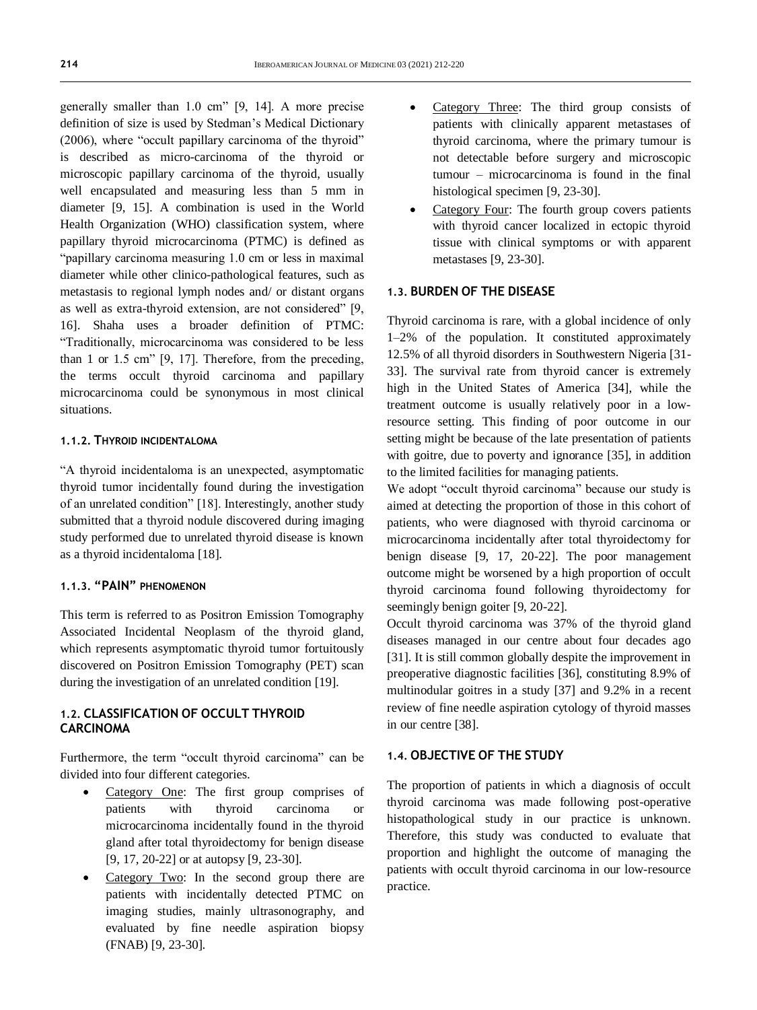generally smaller than 1.0 cm" [9, 14]. A more precise definition of size is used by Stedman's Medical Dictionary (2006), where "occult papillary carcinoma of the thyroid" is described as micro-carcinoma of the thyroid or microscopic papillary carcinoma of the thyroid, usually well encapsulated and measuring less than 5 mm in diameter [9, 15]. A combination is used in the World Health Organization (WHO) classification system, where papillary thyroid microcarcinoma (PTMC) is defined as "papillary carcinoma measuring 1.0 cm or less in maximal diameter while other clinico-pathological features, such as metastasis to regional lymph nodes and/ or distant organs as well as extra-thyroid extension, are not considered" [9, 16]. Shaha uses a broader definition of PTMC: "Traditionally, microcarcinoma was considered to be less than 1 or 1.5 cm" [9, 17]. Therefore, from the preceding, the terms occult thyroid carcinoma and papillary microcarcinoma could be synonymous in most clinical situations.

#### **1.1.2. THYROID INCIDENTALOMA**

"A thyroid incidentaloma is an unexpected, asymptomatic thyroid tumor incidentally found during the investigation of an unrelated condition" [18]. Interestingly, another study submitted that a thyroid nodule discovered during imaging study performed due to unrelated thyroid disease is known as a thyroid incidentaloma [18].

#### **1.1.3. "PAIN" PHENOMENON**

This term is referred to as Positron Emission Tomography Associated Incidental Neoplasm of the thyroid gland, which represents asymptomatic thyroid tumor fortuitously discovered on Positron Emission Tomography (PET) scan during the investigation of an unrelated condition [19].

#### **1.2. CLASSIFICATION OF OCCULT THYROID CARCINOMA**

Furthermore, the term "occult thyroid carcinoma" can be divided into four different categories.

- Category One: The first group comprises of patients with thyroid carcinoma or microcarcinoma incidentally found in the thyroid gland after total thyroidectomy for benign disease [9, 17, 20-22] or at autopsy [9, 23-30].
- Category Two: In the second group there are patients with incidentally detected PTMC on imaging studies, mainly ultrasonography, and evaluated by fine needle aspiration biopsy (FNAB) [9, 23-30].
- Category Three: The third group consists of patients with clinically apparent metastases of thyroid carcinoma, where the primary tumour is not detectable before surgery and microscopic tumour – microcarcinoma is found in the final histological specimen [9, 23-30].
- Category Four: The fourth group covers patients with thyroid cancer localized in ectopic thyroid tissue with clinical symptoms or with apparent metastases [9, 23-30].

### **1.3. BURDEN OF THE DISEASE**

Thyroid carcinoma is rare, with a global incidence of only 1–2% of the population. It constituted approximately 12.5% of all thyroid disorders in Southwestern Nigeria [31- 33]. The survival rate from thyroid cancer is extremely high in the United States of America [34], while the treatment outcome is usually relatively poor in a lowresource setting. This finding of poor outcome in our setting might be because of the late presentation of patients with goitre, due to poverty and ignorance [35], in addition to the limited facilities for managing patients.

We adopt "occult thyroid carcinoma" because our study is aimed at detecting the proportion of those in this cohort of patients, who were diagnosed with thyroid carcinoma or microcarcinoma incidentally after total thyroidectomy for benign disease [9, 17, 20-22]. The poor management outcome might be worsened by a high proportion of occult thyroid carcinoma found following thyroidectomy for seemingly benign goiter [9, 20-22].

Occult thyroid carcinoma was 37% of the thyroid gland diseases managed in our centre about four decades ago [31]. It is still common globally despite the improvement in preoperative diagnostic facilities [36], constituting 8.9% of multinodular goitres in a study [37] and 9.2% in a recent review of fine needle aspiration cytology of thyroid masses in our centre [38].

#### **1.4. OBJECTIVE OF THE STUDY**

The proportion of patients in which a diagnosis of occult thyroid carcinoma was made following post-operative histopathological study in our practice is unknown. Therefore, this study was conducted to evaluate that proportion and highlight the outcome of managing the patients with occult thyroid carcinoma in our low-resource practice.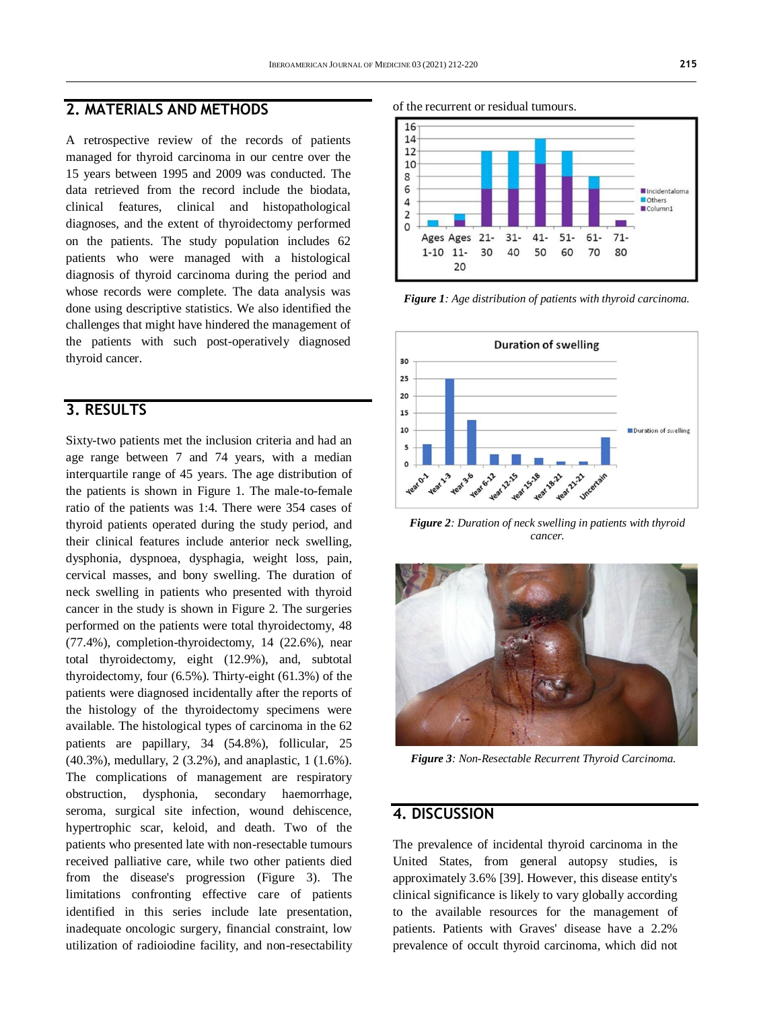### **2. MATERIALS AND METHODS**

A retrospective review of the records of patients managed for thyroid carcinoma in our centre over the 15 years between 1995 and 2009 was conducted. The data retrieved from the record include the biodata, clinical features, clinical and histopathological diagnoses, and the extent of thyroidectomy performed on the patients. The study population includes 62 patients who were managed with a histological diagnosis of thyroid carcinoma during the period and whose records were complete. The data analysis was done using descriptive statistics. We also identified the challenges that might have hindered the management of the patients with such post-operatively diagnosed thyroid cancer.

## **3. RESULTS**

Sixty-two patients met the inclusion criteria and had an age range between 7 and 74 years, with a median interquartile range of 45 years. The age distribution of the patients is shown in Figure 1. The male-to-female ratio of the patients was 1:4. There were 354 cases of thyroid patients operated during the study period, and their clinical features include anterior neck swelling, dysphonia, dyspnoea, dysphagia, weight loss, pain, cervical masses, and bony swelling. The duration of neck swelling in patients who presented with thyroid cancer in the study is shown in Figure 2. The surgeries performed on the patients were total thyroidectomy, 48 (77.4%), completion-thyroidectomy, 14 (22.6%), near total thyroidectomy, eight (12.9%), and, subtotal thyroidectomy, four (6.5%). Thirty-eight (61.3%) of the patients were diagnosed incidentally after the reports of the histology of the thyroidectomy specimens were available. The histological types of carcinoma in the 62 patients are papillary, 34 (54.8%), follicular, 25 (40.3%), medullary, 2 (3.2%), and anaplastic, 1 (1.6%). The complications of management are respiratory obstruction, dysphonia, secondary haemorrhage, seroma, surgical site infection, wound dehiscence, hypertrophic scar, keloid, and death. Two of the patients who presented late with non-resectable tumours received palliative care, while two other patients died from the disease's progression (Figure 3). The limitations confronting effective care of patients identified in this series include late presentation, inadequate oncologic surgery, financial constraint, low utilization of radioiodine facility, and non-resectability

of the recurrent or residual tumours.



*Figure 1: Age distribution of patients with thyroid carcinoma.*



*Figure 2: Duration of neck swelling in patients with thyroid cancer.*



*Figure 3: Non-Resectable Recurrent Thyroid Carcinoma.*

### **4. DISCUSSION**

The prevalence of incidental thyroid carcinoma in the United States, from general autopsy studies, is approximately 3.6% [39]. However, this disease entity's clinical significance is likely to vary globally according to the available resources for the management of patients. Patients with Graves' disease have a 2.2% prevalence of occult thyroid carcinoma, which did not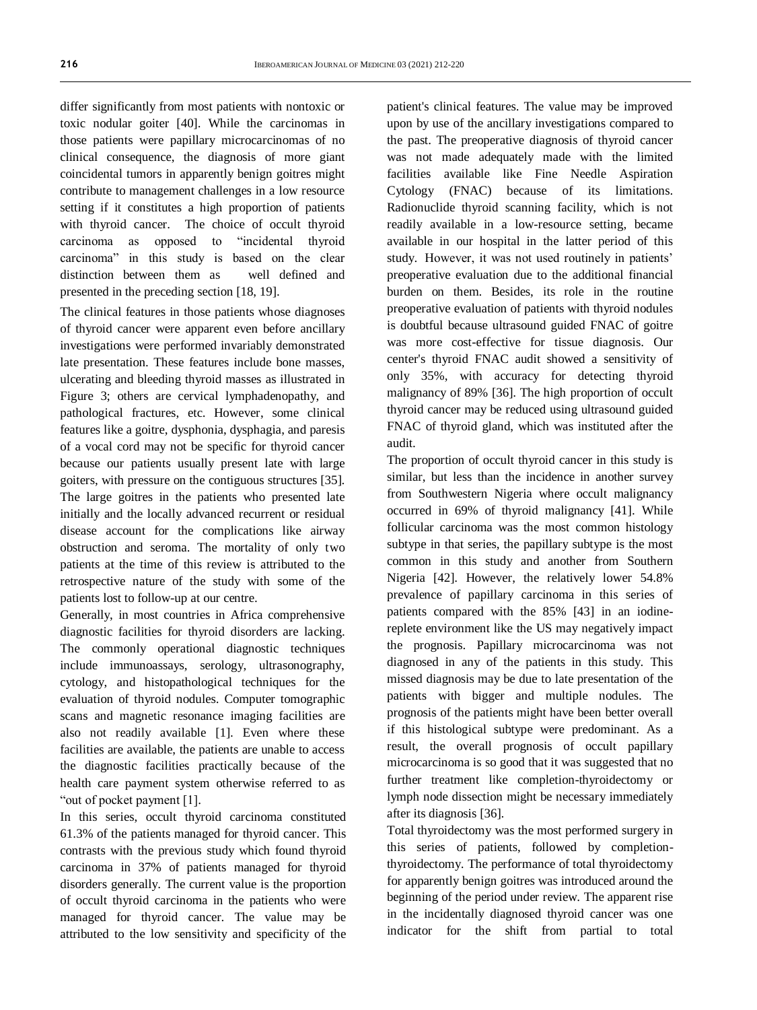differ significantly from most patients with nontoxic or toxic nodular goiter [40]. While the carcinomas in those patients were papillary microcarcinomas of no clinical consequence, the diagnosis of more giant coincidental tumors in apparently benign goitres might contribute to management challenges in a low resource setting if it constitutes a high proportion of patients with thyroid cancer. The choice of occult thyroid carcinoma as opposed to "incidental thyroid carcinoma" in this study is based on the clear distinction between them as well defined and presented in the preceding section [18, 19].

The clinical features in those patients whose diagnoses of thyroid cancer were apparent even before ancillary investigations were performed invariably demonstrated late presentation. These features include bone masses, ulcerating and bleeding thyroid masses as illustrated in Figure 3; others are cervical lymphadenopathy, and pathological fractures, etc. However, some clinical features like a goitre, dysphonia, dysphagia, and paresis of a vocal cord may not be specific for thyroid cancer because our patients usually present late with large goiters, with pressure on the contiguous structures [35]. The large goitres in the patients who presented late initially and the locally advanced recurrent or residual disease account for the complications like airway obstruction and seroma. The mortality of only two patients at the time of this review is attributed to the retrospective nature of the study with some of the patients lost to follow-up at our centre.

Generally, in most countries in Africa comprehensive diagnostic facilities for thyroid disorders are lacking. The commonly operational diagnostic techniques include immunoassays, serology, ultrasonography, cytology, and histopathological techniques for the evaluation of thyroid nodules. Computer tomographic scans and magnetic resonance imaging facilities are also not readily available [1]. Even where these facilities are available, the patients are unable to access the diagnostic facilities practically because of the health care payment system otherwise referred to as "out of pocket payment [1].

In this series, occult thyroid carcinoma constituted 61.3% of the patients managed for thyroid cancer. This contrasts with the previous study which found thyroid carcinoma in 37% of patients managed for thyroid disorders generally. The current value is the proportion of occult thyroid carcinoma in the patients who were managed for thyroid cancer. The value may be attributed to the low sensitivity and specificity of the patient's clinical features. The value may be improved upon by use of the ancillary investigations compared to the past. The preoperative diagnosis of thyroid cancer was not made adequately made with the limited facilities available like Fine Needle Aspiration Cytology (FNAC) because of its limitations. Radionuclide thyroid scanning facility, which is not readily available in a low-resource setting, became available in our hospital in the latter period of this study. However, it was not used routinely in patients' preoperative evaluation due to the additional financial burden on them. Besides, its role in the routine preoperative evaluation of patients with thyroid nodules is doubtful because ultrasound guided FNAC of goitre was more cost-effective for tissue diagnosis. Our center's thyroid FNAC audit showed a sensitivity of only 35%, with accuracy for detecting thyroid malignancy of 89% [36]. The high proportion of occult thyroid cancer may be reduced using ultrasound guided FNAC of thyroid gland, which was instituted after the audit.

The proportion of occult thyroid cancer in this study is similar, but less than the incidence in another survey from Southwestern Nigeria where occult malignancy occurred in 69% of thyroid malignancy [41]. While follicular carcinoma was the most common histology subtype in that series, the papillary subtype is the most common in this study and another from Southern Nigeria [42]. However, the relatively lower 54.8% prevalence of papillary carcinoma in this series of patients compared with the 85% [43] in an iodinereplete environment like the US may negatively impact the prognosis. Papillary microcarcinoma was not diagnosed in any of the patients in this study. This missed diagnosis may be due to late presentation of the patients with bigger and multiple nodules. The prognosis of the patients might have been better overall if this histological subtype were predominant. As a result, the overall prognosis of occult papillary microcarcinoma is so good that it was suggested that no further treatment like completion-thyroidectomy or lymph node dissection might be necessary immediately after its diagnosis [36].

Total thyroidectomy was the most performed surgery in this series of patients, followed by completionthyroidectomy. The performance of total thyroidectomy for apparently benign goitres was introduced around the beginning of the period under review. The apparent rise in the incidentally diagnosed thyroid cancer was one indicator for the shift from partial to total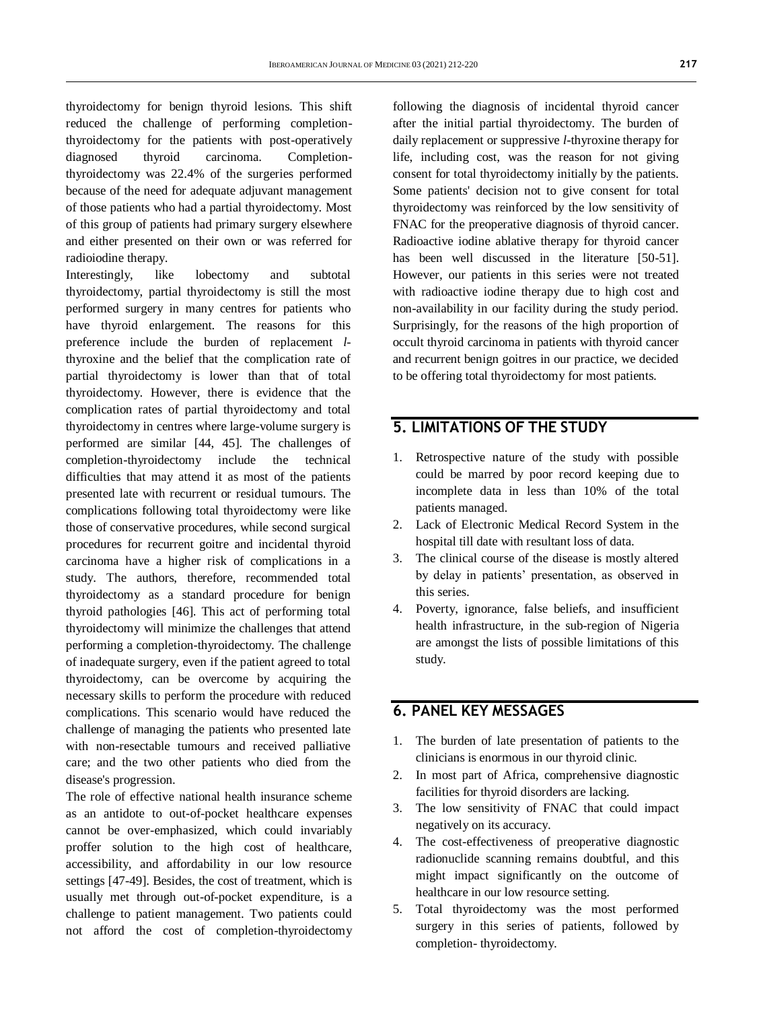thyroidectomy for benign thyroid lesions. This shift reduced the challenge of performing completionthyroidectomy for the patients with post-operatively diagnosed thyroid carcinoma. Completionthyroidectomy was 22.4% of the surgeries performed because of the need for adequate adjuvant management of those patients who had a partial thyroidectomy. Most of this group of patients had primary surgery elsewhere and either presented on their own or was referred for radioiodine therapy.

Interestingly, like lobectomy and subtotal thyroidectomy, partial thyroidectomy is still the most performed surgery in many centres for patients who have thyroid enlargement. The reasons for this preference include the burden of replacement *l*thyroxine and the belief that the complication rate of partial thyroidectomy is lower than that of total thyroidectomy. However, there is evidence that the complication rates of partial thyroidectomy and total thyroidectomy in centres where large-volume surgery is performed are similar [44, 45]. The challenges of completion-thyroidectomy include the technical difficulties that may attend it as most of the patients presented late with recurrent or residual tumours. The complications following total thyroidectomy were like those of conservative procedures, while second surgical procedures for recurrent goitre and incidental thyroid carcinoma have a higher risk of complications in a study. The authors, therefore, recommended total thyroidectomy as a standard procedure for benign thyroid pathologies [46]. This act of performing total thyroidectomy will minimize the challenges that attend performing a completion-thyroidectomy. The challenge of inadequate surgery, even if the patient agreed to total thyroidectomy, can be overcome by acquiring the necessary skills to perform the procedure with reduced complications. This scenario would have reduced the challenge of managing the patients who presented late with non-resectable tumours and received palliative care; and the two other patients who died from the disease's progression.

The role of effective national health insurance scheme as an antidote to out-of-pocket healthcare expenses cannot be over-emphasized, which could invariably proffer solution to the high cost of healthcare, accessibility, and affordability in our low resource settings [47-49]. Besides, the cost of treatment, which is usually met through out-of-pocket expenditure, is a challenge to patient management. Two patients could not afford the cost of completion-thyroidectomy

following the diagnosis of incidental thyroid cancer after the initial partial thyroidectomy. The burden of daily replacement or suppressive *l*-thyroxine therapy for life, including cost, was the reason for not giving consent for total thyroidectomy initially by the patients. Some patients' decision not to give consent for total thyroidectomy was reinforced by the low sensitivity of FNAC for the preoperative diagnosis of thyroid cancer. Radioactive iodine ablative therapy for thyroid cancer has been well discussed in the literature [50-51]. However, our patients in this series were not treated with radioactive iodine therapy due to high cost and non-availability in our facility during the study period. Surprisingly, for the reasons of the high proportion of occult thyroid carcinoma in patients with thyroid cancer and recurrent benign goitres in our practice, we decided to be offering total thyroidectomy for most patients.

## **5. LIMITATIONS OF THE STUDY**

- 1. Retrospective nature of the study with possible could be marred by poor record keeping due to incomplete data in less than 10% of the total patients managed.
- 2. Lack of Electronic Medical Record System in the hospital till date with resultant loss of data.
- 3. The clinical course of the disease is mostly altered by delay in patients' presentation, as observed in this series.
- 4. Poverty, ignorance, false beliefs, and insufficient health infrastructure, in the sub-region of Nigeria are amongst the lists of possible limitations of this study.

### **6. PANEL KEY MESSAGES**

- 1. The burden of late presentation of patients to the clinicians is enormous in our thyroid clinic.
- 2. In most part of Africa, comprehensive diagnostic facilities for thyroid disorders are lacking.
- 3. The low sensitivity of FNAC that could impact negatively on its accuracy.
- 4. The cost-effectiveness of preoperative diagnostic radionuclide scanning remains doubtful, and this might impact significantly on the outcome of healthcare in our low resource setting.
- 5. Total thyroidectomy was the most performed surgery in this series of patients, followed by completion- thyroidectomy.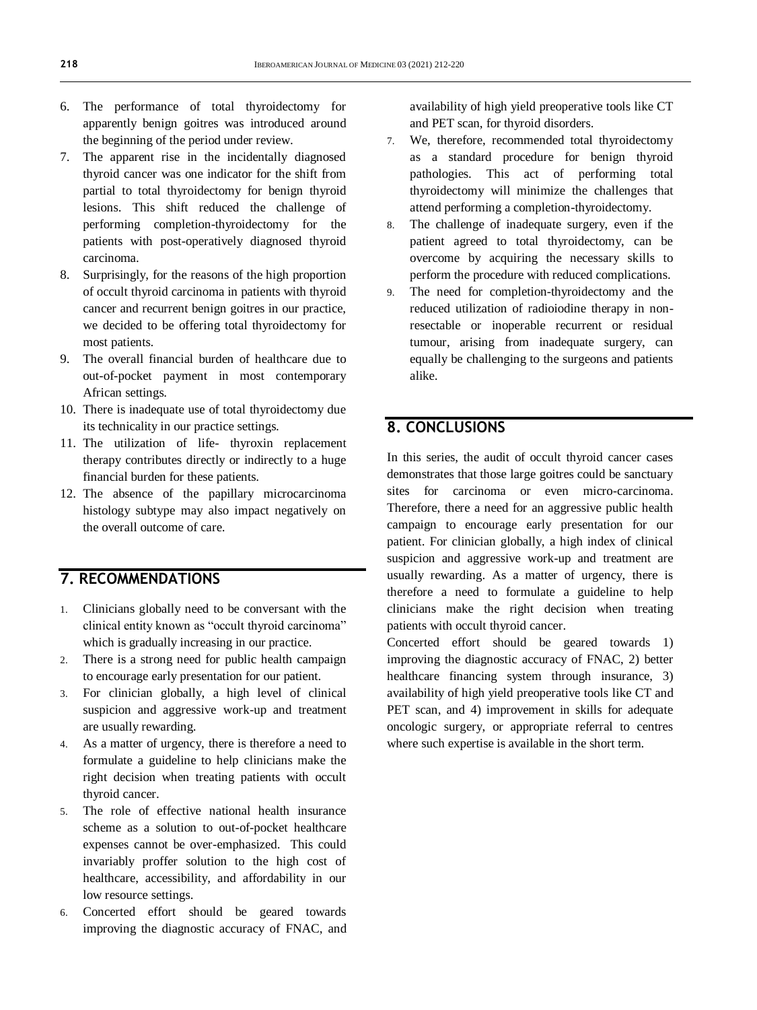- 6. The performance of total thyroidectomy for apparently benign goitres was introduced around the beginning of the period under review.
- 7. The apparent rise in the incidentally diagnosed thyroid cancer was one indicator for the shift from partial to total thyroidectomy for benign thyroid lesions. This shift reduced the challenge of performing completion-thyroidectomy for the patients with post-operatively diagnosed thyroid carcinoma.
- 8. Surprisingly, for the reasons of the high proportion of occult thyroid carcinoma in patients with thyroid cancer and recurrent benign goitres in our practice, we decided to be offering total thyroidectomy for most patients.
- 9. The overall financial burden of healthcare due to out-of-pocket payment in most contemporary African settings.
- 10. There is inadequate use of total thyroidectomy due its technicality in our practice settings.
- 11. The utilization of life- thyroxin replacement therapy contributes directly or indirectly to a huge financial burden for these patients.
- 12. The absence of the papillary microcarcinoma histology subtype may also impact negatively on the overall outcome of care.

## **7. RECOMMENDATIONS**

- 1. Clinicians globally need to be conversant with the clinical entity known as "occult thyroid carcinoma" which is gradually increasing in our practice.
- 2. There is a strong need for public health campaign to encourage early presentation for our patient.
- 3. For clinician globally, a high level of clinical suspicion and aggressive work-up and treatment are usually rewarding.
- 4. As a matter of urgency, there is therefore a need to formulate a guideline to help clinicians make the right decision when treating patients with occult thyroid cancer.
- 5. The role of effective national health insurance scheme as a solution to out-of-pocket healthcare expenses cannot be over-emphasized. This could invariably proffer solution to the high cost of healthcare, accessibility, and affordability in our low resource settings.
- 6. Concerted effort should be geared towards improving the diagnostic accuracy of FNAC, and

availability of high yield preoperative tools like CT and PET scan, for thyroid disorders.

- 7. We, therefore, recommended total thyroidectomy as a standard procedure for benign thyroid pathologies. This act of performing total thyroidectomy will minimize the challenges that attend performing a completion-thyroidectomy.
- 8. The challenge of inadequate surgery, even if the patient agreed to total thyroidectomy, can be overcome by acquiring the necessary skills to perform the procedure with reduced complications.
- 9. The need for completion-thyroidectomy and the reduced utilization of radioiodine therapy in nonresectable or inoperable recurrent or residual tumour, arising from inadequate surgery, can equally be challenging to the surgeons and patients alike.

## **8. CONCLUSIONS**

In this series, the audit of occult thyroid cancer cases demonstrates that those large goitres could be sanctuary sites for carcinoma or even micro-carcinoma. Therefore, there a need for an aggressive public health campaign to encourage early presentation for our patient. For clinician globally, a high index of clinical suspicion and aggressive work-up and treatment are usually rewarding. As a matter of urgency, there is therefore a need to formulate a guideline to help clinicians make the right decision when treating patients with occult thyroid cancer.

Concerted effort should be geared towards 1) improving the diagnostic accuracy of FNAC, 2) better healthcare financing system through insurance, 3) availability of high yield preoperative tools like CT and PET scan, and 4) improvement in skills for adequate oncologic surgery, or appropriate referral to centres where such expertise is available in the short term.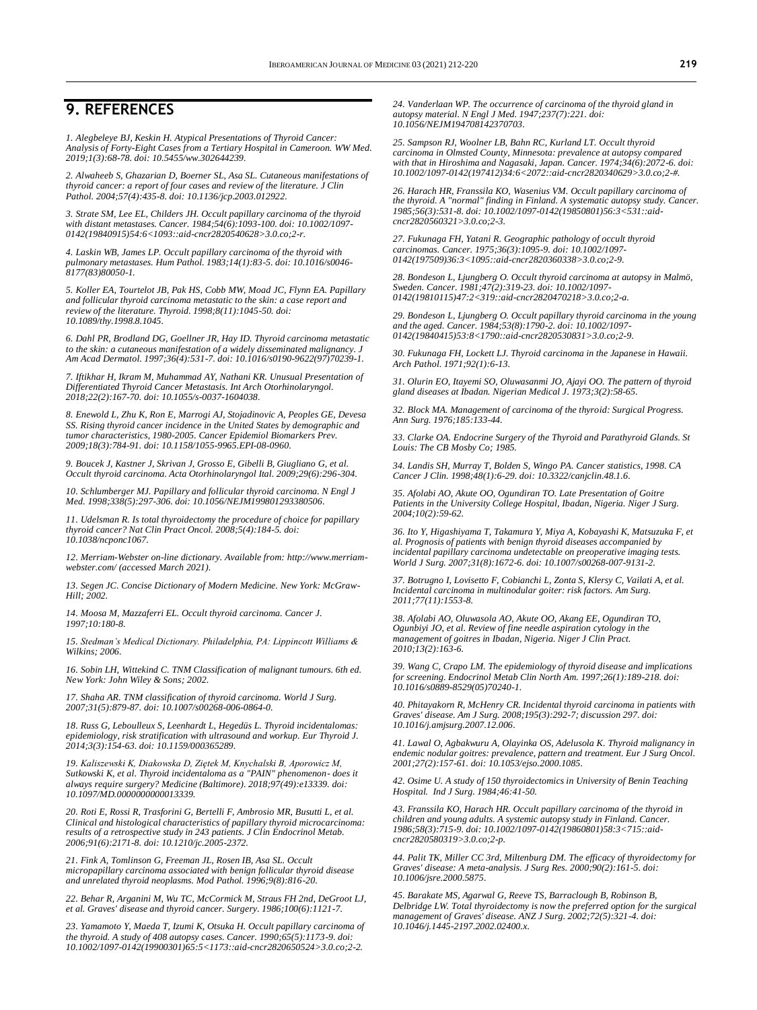### **9. REFERENCES**

*1. Alegbeleye BJ, Keskin H. Atypical Presentations of Thyroid Cancer: Analysis of Forty-Eight Cases from a Tertiary Hospital in Cameroon. WW Med. 2019;1(3):68-78. doi[: 10.5455/ww.302644239.](http://dx.doi.org/10.5455/ww.302644239)*

*2. Alwaheeb S, Ghazarian D, Boerner SL, Asa SL. Cutaneous manifestations of thyroid cancer: a report of four cases and review of the literature. J Clin Pathol. 2004;57(4):435-8. doi[: 10.1136/jcp.2003.012922.](https://doi.org/10.1136/jcp.2003.012922)*

*3. Strate SM, Lee EL, Childers JH. Occult papillary carcinoma of the thyroid with distant metastases. Cancer. 1984;54(6):1093-100. doi: [10.1002/1097-](https://doi.org/10.1002/1097-0142(19840915)54:6%3C1093::aid-cncr2820540628%3E3.0.co;2-r) [0142\(19840915\)54:6<1093::aid-cncr2820540628>3.0.co;2-r.](https://doi.org/10.1002/1097-0142(19840915)54:6%3C1093::aid-cncr2820540628%3E3.0.co;2-r)*

*4. Laskin WB, James LP. Occult papillary carcinoma of the thyroid with pulmonary metastases. Hum Pathol. 1983;14(1):83-5. doi[: 10.1016/s0046-](https://doi.org/10.1016/s0046-8177(83)80050-1) [8177\(83\)80050-1.](https://doi.org/10.1016/s0046-8177(83)80050-1)*

*5. Koller EA, Tourtelot JB, Pak HS, Cobb MW, Moad JC, Flynn EA. Papillary and follicular thyroid carcinoma metastatic to the skin: a case report and review of the literature. Thyroid. 1998;8(11):1045-50. doi: [10.1089/thy.1998.8.1045.](https://doi.org/10.1089/thy.1998.8.1045)*

*6. Dahl PR, Brodland DG, Goellner JR, Hay ID. Thyroid carcinoma metastatic to the skin: a cutaneous manifestation of a widely disseminated malignancy. J Am Acad Dermatol. 1997;36(4):531-7. doi[: 10.1016/s0190-9622\(97\)70239-1.](https://doi.org/10.1016/s0190-9622(97)70239-1)*

*7. Iftikhar H, Ikram M, Muhammad AY, Nathani KR. Unusual Presentation of Differentiated Thyroid Cancer Metastasis. Int Arch Otorhinolaryngol. 2018;22(2):167-70. doi[: 10.1055/s-0037-1604038.](https://doi.org/10.1055/s-0037-1604038)*

*8. Enewold L, Zhu K, Ron E, Marrogi AJ, Stojadinovic A, Peoples GE, Devesa SS. Rising thyroid cancer incidence in the United States by demographic and tumor characteristics, 1980-2005. Cancer Epidemiol Biomarkers Prev. 2009;18(3):784-91. doi[: 10.1158/1055-9965.EPI-08-0960.](https://doi.org/10.1158/1055-9965.epi-08-0960)*

*9. Boucek J, Kastner J, Skrivan J, Grosso E, Gibelli B, Giugliano G, et al. Occult thyroid carcinoma. Acta Otorhinolaryngol Ital. 2009;29(6):296-304.*

*10. Schlumberger MJ. Papillary and follicular thyroid carcinoma. N Engl J Med. 1998;338(5):297-306. doi[: 10.1056/NEJM199801293380506.](https://doi.org/10.1056/nejm199801293380506)*

*11. Udelsman R. Is total thyroidectomy the procedure of choice for papillary thyroid cancer? Nat Clin Pract Oncol. 2008;5(4):184-5. doi: [10.1038/ncponc1067.](https://doi.org/10.1038/ncponc1067)*

*12. Merriam-Webster on-line dictionary. Available from: [http://www.merriam](http://www.merriam-webster.com/)[webster.com/](http://www.merriam-webster.com/) (accessed March 2021).*

*13. Segen JC. Concise Dictionary of Modern Medicine. New York: McGraw-Hill; 2002.*

*14. Moosa M, Mazzaferri EL. Occult thyroid carcinoma. Cancer J. 1997;10:180-8.* 

*15. Stedman's Medical Dictionary. Philadelphia, PA: Lippincott Williams & Wilkins; 2006.*

*16. Sobin LH, Wittekind C. TNM Classification of malignant tumours. 6th ed. New York: John Wiley & Sons; 2002.*

*17. Shaha AR. TNM classification of thyroid carcinoma. World J Surg. 2007;31(5):879-87. doi[: 10.1007/s00268-006-0864-0.](https://doi.org/10.1007/s00268-006-0864-0)*

*18. Russ G, Leboulleux S, Leenhardt L, Hegedüs L. Thyroid incidentalomas: epidemiology, risk stratification with ultrasound and workup. Eur Thyroid J. 2014;3(3):154-63. doi[: 10.1159/000365289.](https://doi.org/10.1159/000365289)*

*19. Kaliszewski K, Diakowska D, Ziętek M, Knychalski B, Aporowicz M, Sutkowski K, et al. Thyroid incidentaloma as a "PAIN" phenomenon- does it always require surgery? Medicine (Baltimore). 2018;97(49):e13339. doi: [10.1097/MD.0000000000013339.](https://doi.org/10.1097/md.0000000000013339)*

*20. Roti E, Rossi R, Trasforini G, Bertelli F, Ambrosio MR, Busutti L, et al. Clinical and histological characteristics of papillary thyroid microcarcinoma: results of a retrospective study in 243 patients. J Clin Endocrinol Metab. 2006;91(6):2171-8. doi[: 10.1210/jc.2005-2372.](https://doi.org/10.1210/jc.2005-2372)*

*21. Fink A, Tomlinson G, Freeman JL, Rosen IB, Asa SL. Occult micropapillary carcinoma associated with benign follicular thyroid disease and unrelated thyroid neoplasms. Mod Pathol. 1996;9(8):816-20.*

*22. Behar R, Arganini M, Wu TC, McCormick M, Straus FH 2nd, DeGroot LJ, et al. Graves' disease and thyroid cancer. Surgery. 1986;100(6):1121-7.*

*23. Yamamoto Y, Maeda T, Izumi K, Otsuka H. Occult papillary carcinoma of the thyroid. A study of 408 autopsy cases. Cancer. 1990;65(5):1173-9. doi: [10.1002/1097-0142\(19900301\)65:5<1173::aid-cncr2820650524>3.0.co;2-2.](https://doi.org/10.1002/1097-0142(19900301)65:5%3C1173::aid-cncr2820650524%3E3.0.co;2-2)*

*24. Vanderlaan WP. The occurrence of carcinoma of the thyroid gland in autopsy material. N Engl J Med. 1947;237(7):221. doi: [10.1056/NEJM194708142370703.](https://doi.org/10.1056/nejm194708142370703)*

*25. Sampson RJ, Woolner LB, Bahn RC, Kurland LT. Occult thyroid carcinoma in Olmsted County, Minnesota: prevalence at autopsy compared with that in Hiroshima and Nagasaki, Japan. Cancer. 1974;34(6):2072-6. doi: [10.1002/1097-0142\(197412\)34:6<2072::aid-cncr2820340629>3.0.co;2-#.](https://doi.org/10.1002/1097-0142(197412)34:6%3C2072::aid-cncr2820340629%3E3.0.co;2-)*

*26. Harach HR, Franssila KO, Wasenius VM. Occult papillary carcinoma of the thyroid. A "normal" finding in Finland. A systematic autopsy study. Cancer. 1985;56(3):531-8. doi[: 10.1002/1097-0142\(19850801\)56:3<531::aid](https://doi.org/10.1002/1097-0142(19850801)56:3%3C531::aid-cncr2820560321%3E3.0.co;2-3)[cncr2820560321>3.0.co;2-3.](https://doi.org/10.1002/1097-0142(19850801)56:3%3C531::aid-cncr2820560321%3E3.0.co;2-3)*

*27. Fukunaga FH, Yatani R. Geographic pathology of occult thyroid carcinomas. Cancer. 1975;36(3):1095-9. doi[: 10.1002/1097-](https://doi.org/10.1002/1097-0142(197509)36:3%3C1095::aid-cncr2820360338%3E3.0.co;2-9) [0142\(197509\)36:3<1095::aid-cncr2820360338>3.0.co;2-9.](https://doi.org/10.1002/1097-0142(197509)36:3%3C1095::aid-cncr2820360338%3E3.0.co;2-9)*

*28. Bondeson L, Ljungberg O. Occult thyroid carcinoma at autopsy in Malmö, Sweden. Cancer. 1981;47(2):319-23. doi[: 10.1002/1097-](https://doi.org/10.1002/1097-0142(19810115)47:2%3C319::aid-cncr2820470218%3E3.0.co;2-a) [0142\(19810115\)47:2<319::aid-cncr2820470218>3.0.co;2-a.](https://doi.org/10.1002/1097-0142(19810115)47:2%3C319::aid-cncr2820470218%3E3.0.co;2-a)*

*29. Bondeson L, Ljungberg O. Occult papillary thyroid carcinoma in the young and the aged. Cancer. 1984;53(8):1790-2. doi[: 10.1002/1097-](https://doi.org/10.1002/1097-0142(19840415)53:8%3C1790::aid-cncr2820530831%3E3.0.co;2-9) [0142\(19840415\)53:8<1790::aid-cncr2820530831>3.0.co;2-9.](https://doi.org/10.1002/1097-0142(19840415)53:8%3C1790::aid-cncr2820530831%3E3.0.co;2-9)*

*30. Fukunaga FH, Lockett LJ. Thyroid carcinoma in the Japanese in Hawaii. Arch Pathol. 1971;92(1):6-13.*

*31. Olurin EO, Itayemi SO, Oluwasanmi JO, Ajayi OO. The pattern of thyroid gland diseases at Ibadan. Nigerian Medical J. 1973;3(2):58-65.*

*32. Block MA. Management of carcinoma of the thyroid: Surgical Progress. Ann Surg. 1976;185:133-44.*

*33. Clarke OA. Endocrine Surgery of the Thyroid and Parathyroid Glands. St Louis: The CB Mosby Co; 1985.*

*34. Landis SH, Murray T, Bolden S, Wingo PA. Cancer statistics, 1998. CA Cancer J Clin. 1998;48(1):6-29. doi[: 10.3322/canjclin.48.1.6.](https://doi.org/10.3322/canjclin.48.1.6)*

*35. Afolabi AO, Akute OO, Ogundiran TO. Late Presentation of Goitre Patients in the University College Hospital, Ibadan, Nigeria. Niger J Surg. 2004;10(2):59-62.*

*36. Ito Y, Higashiyama T, Takamura Y, Miya A, Kobayashi K, Matsuzuka F, et al. Prognosis of patients with benign thyroid diseases accompanied by incidental papillary carcinoma undetectable on preoperative imaging tests. World J Surg. 2007;31(8):1672-6. doi[: 10.1007/s00268-007-9131-2.](https://doi.org/10.1007/s00268-007-9131-2)*

*37. Botrugno I, Lovisetto F, Cobianchi L, Zonta S, Klersy C, Vailati A, et al. Incidental carcinoma in multinodular goiter: risk factors. Am Surg. 2011;77(11):1553-8.*

*38. Afolabi AO, Oluwasola AO, Akute OO, Akang EE, Ogundiran TO, Ogunbiyi JO, et al. Review of fine needle aspiration cytology in the management of goitres in Ibadan, Nigeria. Niger J Clin Pract. 2010;13(2):163-6.*

*39. Wang C, Crapo LM. The epidemiology of thyroid disease and implications for screening. Endocrinol Metab Clin North Am. 1997;26(1):189-218. doi: [10.1016/s0889-8529\(05\)70240-1.](https://doi.org/10.1016/s0889-8529(05)70240-1)*

*40. Phitayakorn R, McHenry CR. Incidental thyroid carcinoma in patients with Graves' disease. Am J Surg. 2008;195(3):292-7; discussion 297. doi: [10.1016/j.amjsurg.2007.12.006.](https://doi.org/10.1016/j.amjsurg.2007.12.006)*

*41. Lawal O, Agbakwuru A, Olayinka OS, Adelusola K. Thyroid malignancy in endemic nodular goitres: prevalence, pattern and treatment. Eur J Surg Oncol. 2001;27(2):157-61. doi[: 10.1053/ejso.2000.1085.](https://doi.org/10.1053/ejso.2000.1085)*

*42. Osime U. A study of 150 thyroidectomics in University of Benin Teaching Hospital. Ind J Surg. 1984;46:41-50.*

*43. Franssila KO, Harach HR. Occult papillary carcinoma of the thyroid in children and young adults. A systemic autopsy study in Finland. Cancer. 1986;58(3):715-9. doi[: 10.1002/1097-0142\(19860801\)58:3<715::aid](https://doi.org/10.1002/1097-0142(19860801)58:3%3C715::aid-cncr2820580319%3E3.0.co;2-p)[cncr2820580319>3.0.co;2-p.](https://doi.org/10.1002/1097-0142(19860801)58:3%3C715::aid-cncr2820580319%3E3.0.co;2-p)*

*44. Palit TK, Miller CC 3rd, Miltenburg DM. The efficacy of thyroidectomy for Graves' disease: A meta-analysis. J Surg Res. 2000;90(2):161-5. doi: [10.1006/jsre.2000.5875.](https://doi.org/10.1006/jsre.2000.5875)*

*45. Barakate MS, Agarwal G, Reeve TS, Barraclough B, Robinson B, Delbridge LW. Total thyroidectomy is now the preferred option for the surgical management of Graves' disease. ANZ J Surg. 2002;72(5):321-4. doi: [10.1046/j.1445-2197.2002.02400.x.](https://doi.org/10.1046/j.1445-2197.2002.02400.x)*